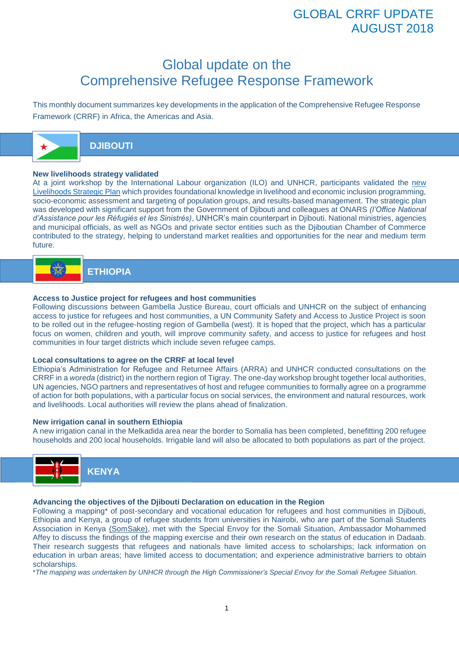# GLOBAL CRRF UPDATE AUGUST 2018

# Global update on the Comprehensive Refugee Response Framework

This monthly document summarizes key developments in the application of the Comprehensive Refugee Response Framework (CRRF) in Africa, the Americas and Asia.



## **DJIBOUTI**

#### **New livelihoods strategy validated**

At a joint workshop by the International Labour organization (ILO) and UNHCR, participants validated the [new](http://www.globalcrrf.org/crrf_document/37506/)  [Livelihoods Strategic Plan](http://www.globalcrrf.org/crrf_document/37506/) which provides foundational knowledge in livelihood and economic inclusion programming, socio-economic assessment and targeting of population groups, and results-based management. The strategic plan was developed with significant support from the Government of Djibouti and colleagues at ONARS *(l'Office National d'Assistance pour les Réfugiés et les Sinistrés)*, UNHCR's main counterpart in Djibouti. National ministries, agencies and municipal officials, as well as NGOs and private sector entities such as the Djiboutian Chamber of Commerce contributed to the strategy, helping to understand market realities and opportunities for the near and medium term future.

# **ETHIOPIA**

#### **Access to Justice project for refugees and host communities**

Following discussions between Gambella Justice Bureau, court officials and UNHCR on the subject of enhancing access to justice for refugees and host communities, a UN Community Safety and Access to Justice Project is soon to be rolled out in the refugee-hosting region of Gambella (west). It is hoped that the project, which has a particular focus on women, children and youth, will improve community safety, and access to justice for refugees and host communities in four target districts which include seven refugee camps.

#### **Local consultations to agree on the CRRF at local level**

Ethiopia's Administration for Refugee and Returnee Affairs (ARRA) and UNHCR conducted consultations on the CRRF in a *woreda* (district) in the northern region of Tigray. The one-day workshop brought together local authorities, UN agencies, NGO partners and representatives of host and refugee communities to formally agree on a programme of action for both populations, with a particular focus on social services, the environment and natural resources, work and livelihoods. Local authorities will review the plans ahead of finalization.

#### **New irrigation canal in southern Ethiopia**

A new irrigation canal in the Melkadida area near the border to Somalia has been completed, benefitting 200 refugee households and 200 local households. Irrigable land will also be allocated to both populations as part of the project.



#### **Advancing the objectives of the Djibouti Declaration on education in the Region**

Following a mapping\* of post-secondary and vocational education for refugees and host communities in Diibouti. Ethiopia and Kenya, a group of refugee students from universities in Nairobi, who are part of the Somali Students Association in Kenya [\(SomSake\),](https://www.somalistudentske.com/) met with the Special Envoy for the Somali Situation, Ambassador Mohammed Affey to discuss the findings of the mapping exercise and their own research on the status of education in Dadaab. Their research suggests that refugees and nationals have limited access to scholarships; lack information on education in urban areas; have limited access to documentation; and experience administrative barriers to obtain scholarships.

\**The mapping was undertaken by UNHCR through the High Commissioner's Special Envoy for the Somali Refugee Situation.*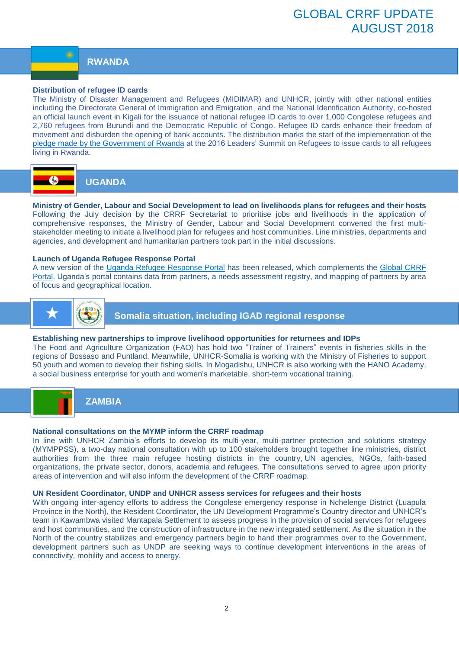#### **RWANDA**

#### **Distribution of refugee ID cards**

The Ministry of Disaster Management and Refugees (MIDIMAR) and UNHCR, jointly with other national entities including the Directorate General of Immigration and Emigration, and the National Identification Authority, co-hosted an official launch event in Kigali for the issuance of national refugee ID cards to over 1,000 Congolese refugees and 2,760 refugees from Burundi and the Democratic Republic of Congo. Refugee ID cards enhance their freedom of movement and disburden the opening of bank accounts. The distribution marks the start of the implementation of the [pledge made by the Government of Rwanda](https://refugeesmigrants.un.org/sites/default/files/public_summary_document_refugee_summit_final_11-11-2016.pdf) at the 2016 Leaders' Summit on Refugees to issue cards to all refugees living in Rwanda.



**UGANDA** 

**Ministry of Gender, Labour and Social Development to lead on livelihoods plans for refugees and their hosts** Following the July decision by the CRRF Secretariat to prioritise jobs and livelihoods in the application of comprehensive responses, the Ministry of Gender, Labour and Social Development convened the first multistakeholder meeting to initiate a livelihood plan for refugees and host communities. Line ministries, departments and agencies, and development and humanitarian partners took part in the initial discussions.

#### **Launch of Uganda Refugee Response Portal**

A new version of the [Uganda Refugee Response Portal](https://ugandarefugees.org/en/country/uga) has been released, which complements the [Global CRRF](http://www.globalcrrf.org/)  [Portal.](http://www.globalcrrf.org/) Uganda's portal contains data from partners, a needs assessment registry, and mapping of partners by area of focus and geographical location.



**Somalia situation, including IGAD regional response**

#### **Establishing new partnerships to improve livelihood opportunities for returnees and IDPs**

The Food and Agriculture Organization (FAO) has hold two "Trainer of Trainers" events in fisheries skills in the regions of Bossaso and Puntland. Meanwhile, UNHCR-Somalia is working with the Ministry of Fisheries to support 50 youth and women to develop their fishing skills. In Mogadishu, UNHCR is also working with the HANO Academy, a social business enterprise for youth and women's marketable, short-term vocational training.



## **ZAMBIA**

#### **National consultations on the MYMP inform the CRRF roadmap**

In line with UNHCR Zambia's efforts to develop its multi-year, multi-partner protection and solutions strategy (MYMPPSS), a two-day national consultation with up to 100 stakeholders brought together line ministries, district authorities from the three main refugee hosting districts in the country, UN agencies, NGOs, faith-based organizations, the private sector, donors, academia and refugees. The consultations served to agree upon priority areas of intervention and will also inform the development of the CRRF roadmap.

#### **UN Resident Coordinator, UNDP and UNHCR assess services for refugees and their hosts**

With ongoing inter-agency efforts to address the Congolese emergency response in Nchelenge District (Luapula Province in the North), the Resident Coordinator, the UN Development Programme's Country director and UNHCR's team in Kawambwa visited Mantapala Settlement to assess progress in the provision of social services for refugees and host communities, and the construction of infrastructure in the new integrated settlement. As the situation in the North of the country stabilizes and emergency partners begin to hand their programmes over to the Government, development partners such as UNDP are seeking ways to continue development interventions in the areas of connectivity, mobility and access to energy.